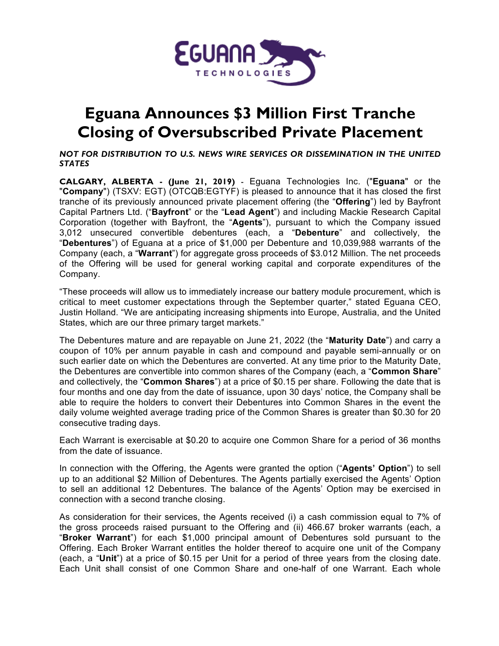

## **Eguana Announces \$3 Million First Tranche Closing of Oversubscribed Private Placement**

*NOT FOR DISTRIBUTION TO U.S. NEWS WIRE SERVICES OR DISSEMINATION IN THE UNITED STATES*

**CALGARY, ALBERTA - (June 21, 2019)** - Eguana Technologies Inc. ("**Eguana**" or the "**Company**") (TSXV: EGT) (OTCQB:EGTYF) is pleased to announce that it has closed the first tranche of its previously announced private placement offering (the "**Offering**") led by Bayfront Capital Partners Ltd. ("**Bayfront**" or the "**Lead Agent**") and including Mackie Research Capital Corporation (together with Bayfront, the "**Agents**"), pursuant to which the Company issued 3,012 unsecured convertible debentures (each, a "**Debenture**" and collectively, the "**Debentures**") of Eguana at a price of \$1,000 per Debenture and 10,039,988 warrants of the Company (each, a "**Warrant**") for aggregate gross proceeds of \$3.012 Million. The net proceeds of the Offering will be used for general working capital and corporate expenditures of the Company.

"These proceeds will allow us to immediately increase our battery module procurement, which is critical to meet customer expectations through the September quarter," stated Eguana CEO, Justin Holland. "We are anticipating increasing shipments into Europe, Australia, and the United States, which are our three primary target markets."

The Debentures mature and are repayable on June 21, 2022 (the "**Maturity Date**") and carry a coupon of 10% per annum payable in cash and compound and payable semi-annually or on such earlier date on which the Debentures are converted. At any time prior to the Maturity Date, the Debentures are convertible into common shares of the Company (each, a "**Common Share**" and collectively, the "**Common Shares**") at a price of \$0.15 per share. Following the date that is four months and one day from the date of issuance, upon 30 days' notice, the Company shall be able to require the holders to convert their Debentures into Common Shares in the event the daily volume weighted average trading price of the Common Shares is greater than \$0.30 for 20 consecutive trading days.

Each Warrant is exercisable at \$0.20 to acquire one Common Share for a period of 36 months from the date of issuance.

In connection with the Offering, the Agents were granted the option ("**Agents' Option**") to sell up to an additional \$2 Million of Debentures. The Agents partially exercised the Agents' Option to sell an additional 12 Debentures. The balance of the Agents' Option may be exercised in connection with a second tranche closing.

As consideration for their services, the Agents received (i) a cash commission equal to 7% of the gross proceeds raised pursuant to the Offering and (ii) 466.67 broker warrants (each, a "**Broker Warrant**") for each \$1,000 principal amount of Debentures sold pursuant to the Offering. Each Broker Warrant entitles the holder thereof to acquire one unit of the Company (each, a "**Unit**") at a price of \$0.15 per Unit for a period of three years from the closing date. Each Unit shall consist of one Common Share and one-half of one Warrant. Each whole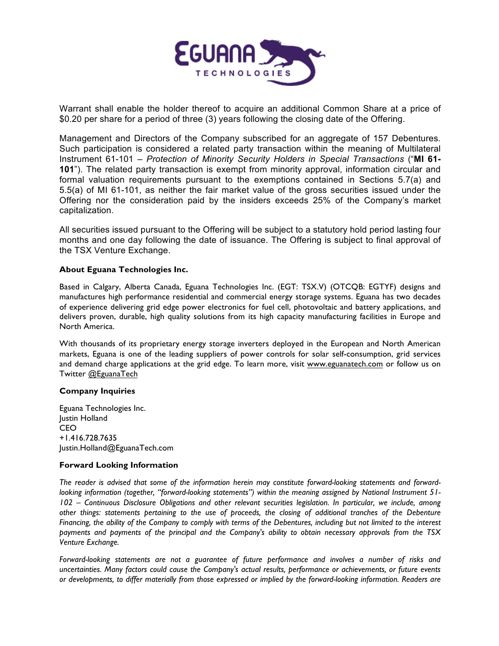

Warrant shall enable the holder thereof to acquire an additional Common Share at a price of \$0.20 per share for a period of three (3) years following the closing date of the Offering.

Management and Directors of the Company subscribed for an aggregate of 157 Debentures. Such participation is considered a related party transaction within the meaning of Multilateral Instrument 61-101 – *Protection of Minority Security Holders in Special Transactions* ("**MI 61- 101**"). The related party transaction is exempt from minority approval, information circular and formal valuation requirements pursuant to the exemptions contained in Sections 5.7(a) and 5.5(a) of MI 61-101, as neither the fair market value of the gross securities issued under the Offering nor the consideration paid by the insiders exceeds 25% of the Company's market capitalization.

All securities issued pursuant to the Offering will be subject to a statutory hold period lasting four months and one day following the date of issuance. The Offering is subject to final approval of the TSX Venture Exchange.

## **About Eguana Technologies Inc.**

Based in Calgary, Alberta Canada, Eguana Technologies Inc. (EGT: TSX.V) (OTCQB: EGTYF) designs and manufactures high performance residential and commercial energy storage systems. Eguana has two decades of experience delivering grid edge power electronics for fuel cell, photovoltaic and battery applications, and delivers proven, durable, high quality solutions from its high capacity manufacturing facilities in Europe and North America.

With thousands of its proprietary energy storage inverters deployed in the European and North American markets, Eguana is one of the leading suppliers of power controls for solar self-consumption, grid services and demand charge applications at the grid edge. To learn more, visit www.eguanatech.com or follow us on Twitter @EguanaTech

## **Company Inquiries**

Eguana Technologies Inc. Justin Holland CEO +1.416.728.7635 Justin.Holland@EguanaTech.com

## **Forward Looking Information**

*The reader is advised that some of the information herein may constitute forward-looking statements and forwardlooking information (together, "forward-looking statements") within the meaning assigned by National Instrument 51- 102 – Continuous Disclosure Obligations and other relevant securities legislation. In particular, we include, among other things: statements pertaining to the use of proceeds, the closing of additional tranches of the Debenture Financing, the ability of the Company to comply with terms of the Debentures, including but not limited to the interest payments and payments of the principal and the Company's ability to obtain necessary approvals from the TSX Venture Exchange.*

*Forward-looking statements are not a guarantee of future performance and involves a number of risks and uncertainties. Many factors could cause the Company's actual results, performance or achievements, or future events or developments, to differ materially from those expressed or implied by the forward-looking information. Readers are*